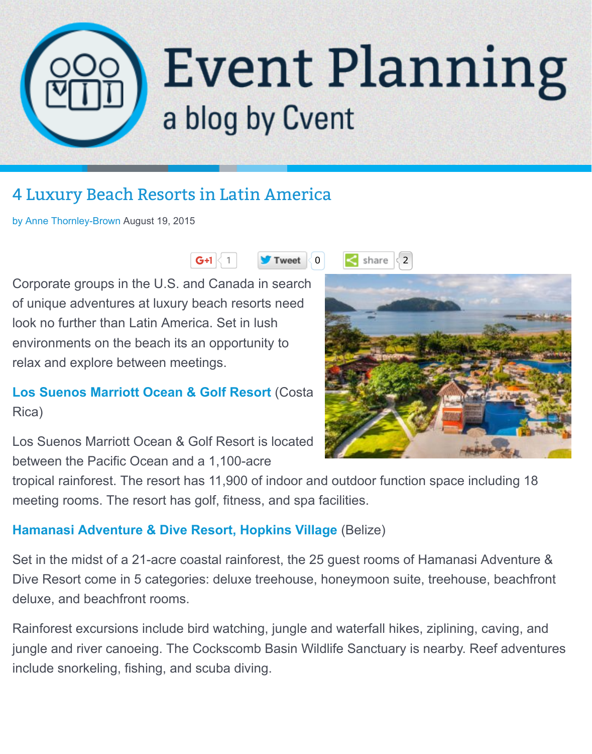# a blog by Cvent

### [4 Luxury Beach Resorts in Latin America](http://blog.cvent.com/)

by Anne Thornley-Brown August 19, 2015







Corporate groups in the U.S. and Canada in search [of unique adventures at luxury beach resorts need](http://blog.cvent.com/blog/executiveoasis/luxury-beach-resorts-in-latin-america) lo[ok no further than](http://blog.cvent.com/blog/executiveoasis) Latin America. Set in lush environments on the beach its an opportunity to relax and explore between meetings.

#### **Los Suenos Marriott Ocean & Golf Resort** (Costa Rica)

Los Suenos Marriott Ocean & Golf Resort is located between the Pacific Ocean and a 1,100-acre



tropical rainforest. The resort has 11,900 of indoor and outdoor function space includ [meeting rooms. The resort has golf, fitness, a](http://www.cvent.com/rfp/herradura-hotels/los-suenos-marriott-ocean-golf-resort/venue-50c739dc4f864cdcae2888d4a43fd5cb.aspx)nd spa facilities.

#### **Hamanasi Adventure & Dive Resort, Hopkins Village** (Belize)

Set in the midst of a 21-acre coastal rainforest, the 25 guest rooms of Hamanasi Adv Dive Resort come in 5 categories: deluxe treehouse, honeymoon suite, treehouse, b deluxe, and beachfront rooms.

[Rainforest excursions include bird watching, jungle and w](http://www.cvent.com/rfp/dangriga-hotels/hamanasi-adventure-dive-resort/venue-a88464015e704e94817dd6207cc34622.aspx)aterfall hikes, ziplining, caving jungle and river canoeing. The Cockscomb Basin Wildlife Sanctuary is nearby. Reef include snorkeling, fishing, and scuba diving.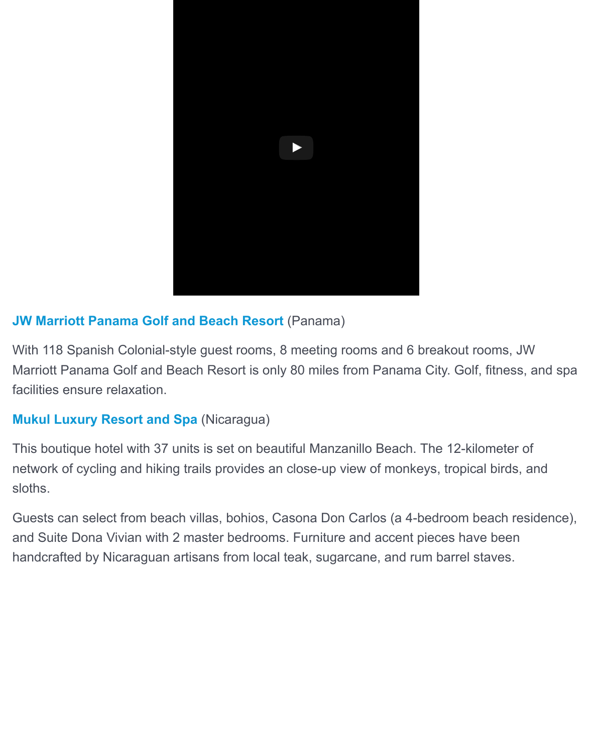

#### **JW Marriott Panama Golf and Beach Resort** (Panama)

With 118 Spanish Colonial-style guest rooms, 8 meeting rooms and 6 breakout room Marriott Panama Golf and Beach Resort is only 80 miles from Panama City. Golf, fitn facilities ensure relaxation.

#### **[Mukul Luxury Resort and Spa](http://www.cvent.com/rfp/rio-hato-hotels/jw-marriott-panama-golf-beach-resort/venue-98f62e7f31fa4154a0d948808d22e777.aspx)** (Nicaragua)

This boutique hotel with 37 units is set on beautiful Manzanillo Beach. The 12-kilome network of cycling and hiking trails provides an close-up view of monkeys, tropical bires, and the number of monkeys, and the number sloths.

[Guests can select from beach vi](http://www.cvent.com/rfp/rivas-hotels/mukul-beach-golf-spa/venue-21dd93a7312042668899a2766d789b35.aspx)llas, bohios, Casona Don Carlos (a 4-bedroom beach and Suite Dona Vivian with 2 master bedrooms. Furniture and accent pieces have be handcrafted by Nicaraguan artisans from local teak, sugarcane, and rum barrel stave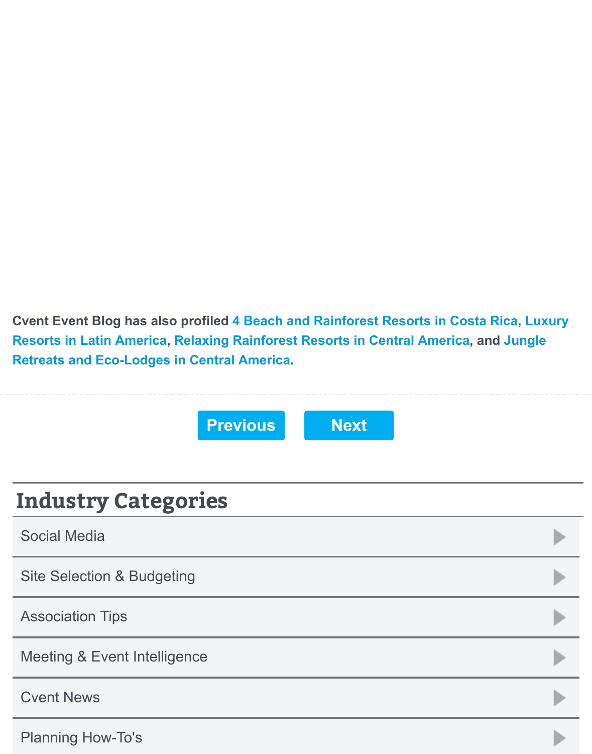**Cvent Event Blog has also profiled 4 Beach and Rainforest Resorts in Costa Ri Resorts in Latin America, Relaxing Rainforest Resorts in Central America, and Retreats and Eco-Lodges in Central America.**



## **Industry Categories**

Social Media

Site Selection & Budgeting

Association Tips

Meeting & Event Intelligence

Cvent News

Planning How-To's